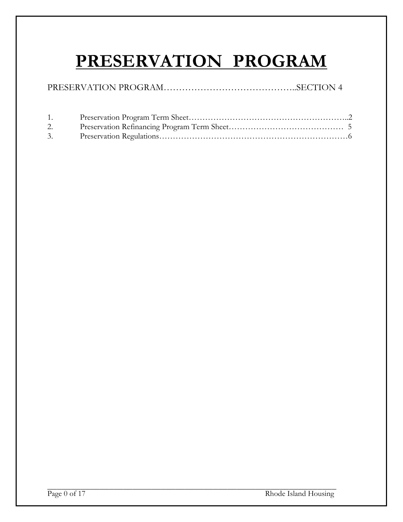# **PRESERVATION PROGRAM**

|--|--|

| 1. |  |
|----|--|
|    |  |
| 3. |  |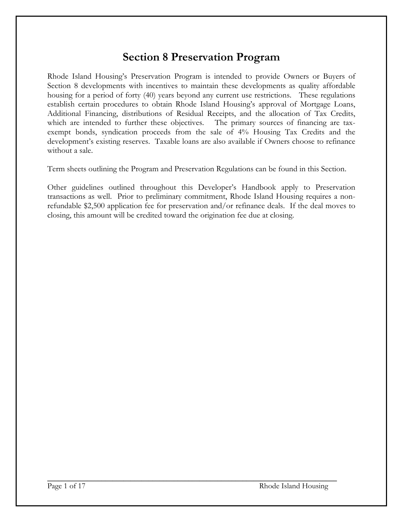### **Section 8 Preservation Program**

Rhode Island Housing's Preservation Program is intended to provide Owners or Buyers of Section 8 developments with incentives to maintain these developments as quality affordable housing for a period of forty (40) years beyond any current use restrictions. These regulations establish certain procedures to obtain Rhode Island Housing's approval of Mortgage Loans, Additional Financing, distributions of Residual Receipts, and the allocation of Tax Credits, which are intended to further these objectives. The primary sources of financing are taxexempt bonds, syndication proceeds from the sale of 4% Housing Tax Credits and the development's existing reserves. Taxable loans are also available if Owners choose to refinance without a sale.

Term sheets outlining the Program and Preservation Regulations can be found in this Section.

Other guidelines outlined throughout this Developer's Handbook apply to Preservation transactions as well. Prior to preliminary commitment, Rhode Island Housing requires a nonrefundable \$2,500 application fee for preservation and/or refinance deals. If the deal moves to closing, this amount will be credited toward the origination fee due at closing.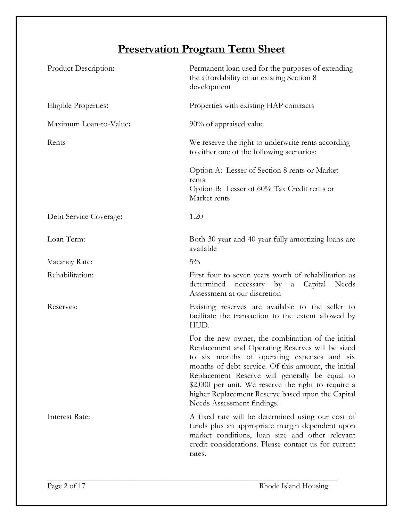## **Preservation Program Term Sheet**

| Product Description:   | Permanent loan used for the purposes of extending<br>the affordability of an existing Section 8<br>development                                                                                                                                                                                                                                                                                          |
|------------------------|---------------------------------------------------------------------------------------------------------------------------------------------------------------------------------------------------------------------------------------------------------------------------------------------------------------------------------------------------------------------------------------------------------|
| Eligible Properties:   | Properties with existing HAP contracts                                                                                                                                                                                                                                                                                                                                                                  |
| Maximum Loan-to-Value: | 90% of appraised value                                                                                                                                                                                                                                                                                                                                                                                  |
| Rents                  | We reserve the right to underwrite rents according<br>to either one of the following scenarios:                                                                                                                                                                                                                                                                                                         |
|                        | Option A: Lesser of Section 8 rents or Market<br>rents<br>Option B: Lesser of 60% Tax Credit rents or<br>Market rents                                                                                                                                                                                                                                                                                   |
| Debt Service Coverage: | 1.20                                                                                                                                                                                                                                                                                                                                                                                                    |
| Loan Term:             | Both 30-year and 40-year fully amortizing loans are<br>available                                                                                                                                                                                                                                                                                                                                        |
| Vacancy Rate:          | $5\%$                                                                                                                                                                                                                                                                                                                                                                                                   |
| Rehabilitation:        | First four to seven years worth of rehabilitation as<br>determined<br>necessary by<br>Capital<br>Needs<br>$\mathbf{a}$<br>Assessment at our discretion                                                                                                                                                                                                                                                  |
| Reserves:              | Existing reserves are available to the seller to<br>facilitate the transaction to the extent allowed by<br>HUD.                                                                                                                                                                                                                                                                                         |
|                        | For the new owner, the combination of the initial<br>Replacement and Operating Reserves will be sized<br>to six months of operating expenses and six<br>months of debt service. Of this amount, the initial<br>Replacement Reserve will generally be equal to<br>\$2,000 per unit. We reserve the right to require a<br>higher Replacement Reserve based upon the Capital<br>Needs Assessment findings. |
| <b>Interest Rate:</b>  | A fixed rate will be determined using our cost of<br>funds plus an appropriate margin dependent upon<br>market conditions, loan size and other relevant<br>credit considerations. Please contact us for current<br>rates.                                                                                                                                                                               |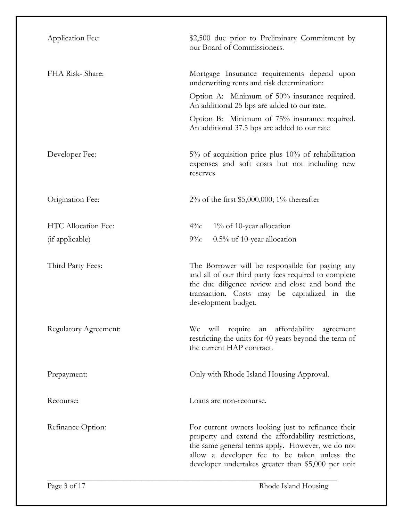| Application Fee:      | \$2,500 due prior to Preliminary Commitment by<br>our Board of Commissioners.                                                                                                                                                                                       |
|-----------------------|---------------------------------------------------------------------------------------------------------------------------------------------------------------------------------------------------------------------------------------------------------------------|
| FHA Risk-Share:       | Mortgage Insurance requirements depend upon<br>underwriting rents and risk determination:                                                                                                                                                                           |
|                       | Option A: Minimum of 50% insurance required.<br>An additional 25 bps are added to our rate.                                                                                                                                                                         |
|                       | Option B: Minimum of 75% insurance required.<br>An additional 37.5 bps are added to our rate                                                                                                                                                                        |
| Developer Fee:        | 5% of acquisition price plus 10% of rehabilitation<br>expenses and soft costs but not including new<br>reserves                                                                                                                                                     |
| Origination Fee:      | 2% of the first $$5,000,000; 1%$ thereafter                                                                                                                                                                                                                         |
| HTC Allocation Fee:   | $4\%$ :<br>$1\%$ of 10-year allocation                                                                                                                                                                                                                              |
| (if applicable)       | $9\%$ :<br>$0.5\%$ of 10-year allocation                                                                                                                                                                                                                            |
| Third Party Fees:     | The Borrower will be responsible for paying any<br>and all of our third party fees required to complete<br>the due diligence review and close and bond the<br>transaction. Costs may be capitalized in the<br>development budget.                                   |
| Regulatory Agreement: | We will require<br>an affordability agreement<br>restricting the units for 40 years beyond the term of<br>the current HAP contract.                                                                                                                                 |
| Prepayment:           | Only with Rhode Island Housing Approval.                                                                                                                                                                                                                            |
| Recourse:             | Loans are non-recourse.                                                                                                                                                                                                                                             |
| Refinance Option:     | For current owners looking just to refinance their<br>property and extend the affordability restrictions,<br>the same general terms apply. However, we do not<br>allow a developer fee to be taken unless the<br>developer undertakes greater than \$5,000 per unit |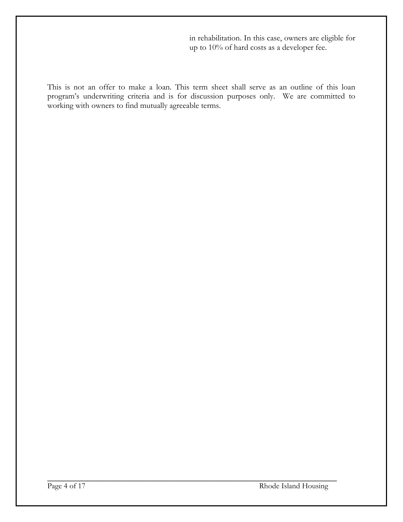in rehabilitation. In this case, owners are eligible for up to 10% of hard costs as a developer fee.

This is not an offer to make a loan. This term sheet shall serve as an outline of this loan program's underwriting criteria and is for discussion purposes only. We are committed to working with owners to find mutually agreeable terms.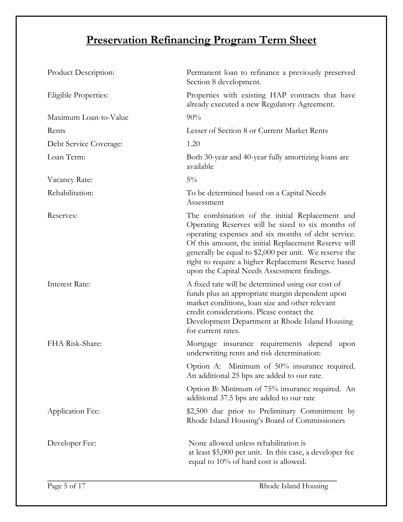## **Preservation Refinancing Program Term Sheet**

| Product Description:   | Permanent loan to refinance a previously preserved<br>Section 8 development.                                                                                                                                                                                                                                                                                                      |
|------------------------|-----------------------------------------------------------------------------------------------------------------------------------------------------------------------------------------------------------------------------------------------------------------------------------------------------------------------------------------------------------------------------------|
| Eligible Properties:   | Properties with existing HAP contracts that have<br>already executed a new Regulatory Agreement.                                                                                                                                                                                                                                                                                  |
| Maximum Loan-to-Value  | 90%                                                                                                                                                                                                                                                                                                                                                                               |
| Rents                  | Lesser of Section 8 or Current Market Rents                                                                                                                                                                                                                                                                                                                                       |
| Debt Service Coverage: | 1.20                                                                                                                                                                                                                                                                                                                                                                              |
| Loan Term:             | Both 30-year and 40-year fully amortizing loans are<br>available                                                                                                                                                                                                                                                                                                                  |
| Vacancy Rate:          | $5\%$                                                                                                                                                                                                                                                                                                                                                                             |
| Rehabilitation:        | To be determined based on a Capital Needs<br>Assessment                                                                                                                                                                                                                                                                                                                           |
| Reserves:              | The combination of the initial Replacement and<br>Operating Reserves will be sized to six months of<br>operating expenses and six months of debt service.<br>Of this amount, the initial Replacement Reserve will<br>generally be equal to \$2,000 per unit. We reserve the<br>right to require a higher Replacement Reserve based<br>upon the Capital Needs Assessment findings. |
| <b>Interest Rate:</b>  | A fixed rate will be determined using our cost of<br>funds plus an appropriate margin dependent upon<br>market conditions, loan size and other relevant<br>credit considerations. Please contact the<br>Development Department at Rhode Island Housing<br>for current rates.                                                                                                      |
| FHA Risk-Share:        | Mortgage insurance requirements depend<br>upon<br>underwriting rents and risk determination:                                                                                                                                                                                                                                                                                      |
|                        | Option A: Minimum of 50% insurance required.<br>An additional 25 bps are added to our rate.                                                                                                                                                                                                                                                                                       |
|                        | Option B: Minimum of 75% insurance required. An<br>additional 37.5 bps are added to our rate                                                                                                                                                                                                                                                                                      |
| Application Fee:       | \$2,500 due prior to Preliminary Commitment by<br>Rhode Island Housing's Board of Commissioners                                                                                                                                                                                                                                                                                   |
| Developer Fee:         | None allowed unless rehabilitation is<br>at least \$5,000 per unit. In this case, a developer fee<br>equal to 10% of hard cost is allowed.                                                                                                                                                                                                                                        |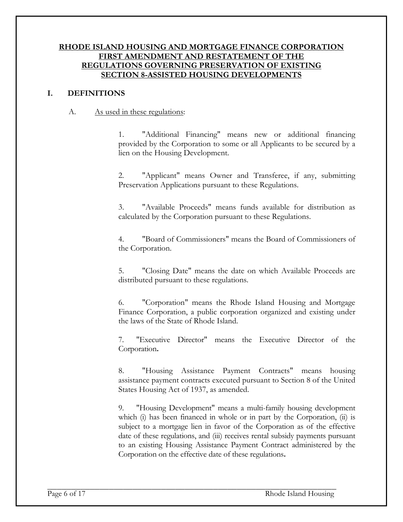#### **RHODE ISLAND HOUSING AND MORTGAGE FINANCE CORPORATION FIRST AMENDMENT AND RESTATEMENT OF THE REGULATIONS GOVERNING PRESERVATION OF EXISTING SECTION 8-ASSISTED HOUSING DEVELOPMENTS**

#### **I. DEFINITIONS**

#### A. As used in these regulations:

1. "Additional Financing" means new or additional financing provided by the Corporation to some or all Applicants to be secured by a lien on the Housing Development.

2. "Applicant" means Owner and Transferee, if any, submitting Preservation Applications pursuant to these Regulations.

3. "Available Proceeds" means funds available for distribution as calculated by the Corporation pursuant to these Regulations.

4. "Board of Commissioners" means the Board of Commissioners of the Corporation.

5. "Closing Date" means the date on which Available Proceeds are distributed pursuant to these regulations.

6. "Corporation" means the Rhode Island Housing and Mortgage Finance Corporation, a public corporation organized and existing under the laws of the State of Rhode Island.

 7. "Executive Director" means the Executive Director of the Corporation**.**

8. "Housing Assistance Payment Contracts" means housing assistance payment contracts executed pursuant to Section 8 of the United States Housing Act of 1937, as amended.

 9. "Housing Development" means a multi-family housing development which (i) has been financed in whole or in part by the Corporation, (ii) is subject to a mortgage lien in favor of the Corporation as of the effective date of these regulations, and (iii) receives rental subsidy payments pursuant to an existing Housing Assistance Payment Contract administered by the Corporation on the effective date of these regulations**.**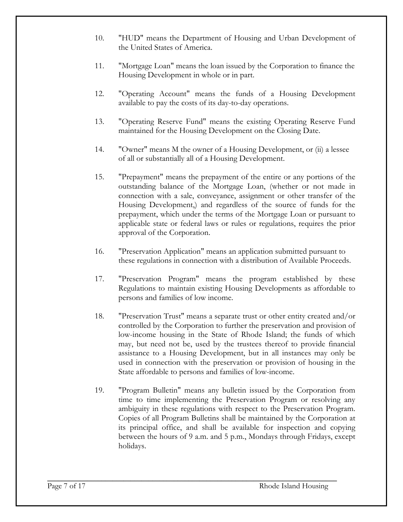- 10. "HUD" means the Department of Housing and Urban Development of the United States of America.
- 11. "Mortgage Loan" means the loan issued by the Corporation to finance the Housing Development in whole or in part.
- 12. "Operating Account" means the funds of a Housing Development available to pay the costs of its day-to-day operations.
- 13. "Operating Reserve Fund" means the existing Operating Reserve Fund maintained for the Housing Development on the Closing Date.
- 14. "Owner" means M the owner of a Housing Development, or (ii) a lessee of all or substantially all of a Housing Development.
- 15. "Prepayment" means the prepayment of the entire or any portions of the outstanding balance of the Mortgage Loan, (whether or not made in connection with a sale, conveyance, assignment or other transfer of the Housing Development,) and regardless of the source of funds for the prepayment, which under the terms of the Mortgage Loan or pursuant to applicable state or federal laws or rules or regulations, requires the prior approval of the Corporation.
- 16. "Preservation Application" means an application submitted pursuant to these regulations in connection with a distribution of Available Proceeds.
- 17. "Preservation Program" means the program established by these Regulations to maintain existing Housing Developments as affordable to persons and families of low income.
- 18. "Preservation Trust" means a separate trust or other entity created and/or controlled by the Corporation to further the preservation and provision of low-income housing in the State of Rhode Island; the funds of which may, but need not be, used by the trustees thereof to provide financial assistance to a Housing Development, but in all instances may only be used in connection with the preservation or provision of housing in the State affordable to persons and families of low-income.
- 19. "Program Bulletin" means any bulletin issued by the Corporation from time to time implementing the Preservation Program or resolving any ambiguity in these regulations with respect to the Preservation Program. Copies of all Program Bulletins shall be maintained by the Corporation at its principal office, and shall be available for inspection and copying between the hours of 9 a.m. and 5 p.m., Mondays through Fridays, except holidays.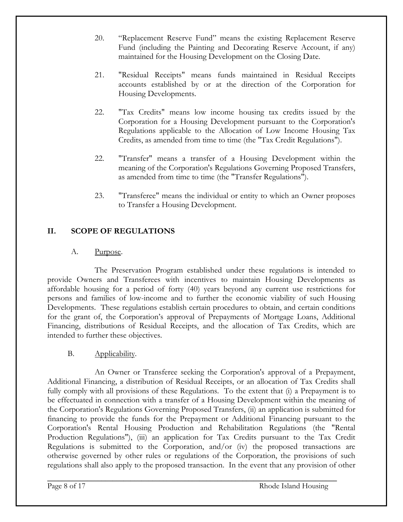- 20. "Replacement Reserve Fund" means the existing Replacement Reserve Fund (including the Painting and Decorating Reserve Account, if any) maintained for the Housing Development on the Closing Date.
- 21. "Residual Receipts" means funds maintained in Residual Receipts accounts established by or at the direction of the Corporation for Housing Developments.
- 22. "Tax Credits" means low income housing tax credits issued by the Corporation for a Housing Development pursuant to the Corporation's Regulations applicable to the Allocation of Low Income Housing Tax Credits, as amended from time to time (the "Tax Credit Regulations").
- 22. "Transfer" means a transfer of a Housing Development within the meaning of the Corporation's Regulations Governing Proposed Transfers, as amended from time to time (the "Transfer Regulations").
- 23. "Transferee" means the individual or entity to which an Owner proposes to Transfer a Housing Development.

#### **II. SCOPE OF REGULATIONS**

#### A. Purpose.

The Preservation Program established under these regulations is intended to provide Owners and Transferees with incentives to maintain Housing Developments as affordable housing for a period of forty (40) years beyond any current use restrictions for persons and families of low-income and to further the economic viability of such Housing Developments. These regulations establish certain procedures to obtain, and certain conditions for the grant of, the Corporation's approval of Prepayments of Mortgage Loans, Additional Financing, distributions of Residual Receipts, and the allocation of Tax Credits, which are intended to further these objectives.

#### B. Applicability.

An Owner or Transferee seeking the Corporation's approval of a Prepayment, Additional Financing, a distribution of Residual Receipts, or an allocation of Tax Credits shall fully comply with all provisions of these Regulations. To the extent that (i) a Prepayment is to be effectuated in connection with a transfer of a Housing Development within the meaning of the Corporation's Regulations Governing Proposed Transfers, (ii) an application is submitted for financing to provide the funds for the Prepayment or Additional Financing pursuant to the Corporation's Rental Housing Production and Rehabilitation Regulations (the "Rental Production Regulations"), (iii) an application for Tax Credits pursuant to the Tax Credit Regulations is submitted to the Corporation, and/or (iv) the proposed transactions are otherwise governed by other rules or regulations of the Corporation, the provisions of such regulations shall also apply to the proposed transaction. In the event that any provision of other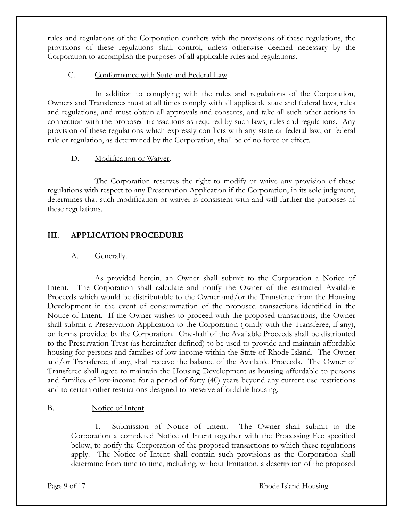rules and regulations of the Corporation conflicts with the provisions of these regulations, the provisions of these regulations shall control, unless otherwise deemed necessary by the Corporation to accomplish the purposes of all applicable rules and regulations.

#### C. Conformance with State and Federal Law.

In addition to complying with the rules and regulations of the Corporation, Owners and Transferees must at all times comply with all applicable state and federal laws, rules and regulations, and must obtain all approvals and consents, and take all such other actions in connection with the proposed transactions as required by such laws, rules and regulations. Any provision of these regulations which expressly conflicts with any state or federal law, or federal rule or regulation, as determined by the Corporation, shall be of no force or effect.

#### D. Modification or Waiver.

The Corporation reserves the right to modify or waive any provision of these regulations with respect to any Preservation Application if the Corporation, in its sole judgment, determines that such modification or waiver is consistent with and will further the purposes of these regulations.

#### **III. APPLICATION PROCEDURE**

#### A. Generally.

As provided herein, an Owner shall submit to the Corporation a Notice of Intent. The Corporation shall calculate and notify the Owner of the estimated Available Proceeds which would be distributable to the Owner and/or the Transferee from the Housing Development in the event of consummation of the proposed transactions identified in the Notice of Intent. If the Owner wishes to proceed with the proposed transactions, the Owner shall submit a Preservation Application to the Corporation (jointly with the Transferee, if any), on forms provided by the Corporation. One-half of the Available Proceeds shall be distributed to the Preservation Trust (as hereinafter defined) to be used to provide and maintain affordable housing for persons and families of low income within the State of Rhode Island. The Owner and/or Transferee, if any, shall receive the balance of the Available Proceeds. The Owner of Transferee shall agree to maintain the Housing Development as housing affordable to persons and families of low-income for a period of forty (40) years beyond any current use restrictions and to certain other restrictions designed to preserve affordable housing.

#### B. Notice of Intent.

1. Submission of Notice of Intent. The Owner shall submit to the Corporation a completed Notice of Intent together with the Processing Fee specified below, to notify the Corporation of the proposed transactions to which these regulations apply. The Notice of Intent shall contain such provisions as the Corporation shall determine from time to time, including, without limitation, a description of the proposed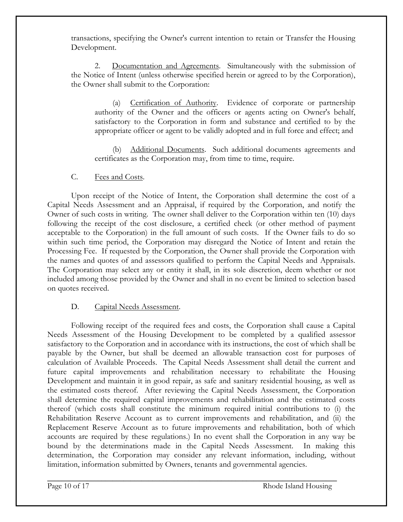transactions, specifying the Owner's current intention to retain or Transfer the Housing Development.

2. Documentation and Agreements. Simultaneously with the submission of the Notice of Intent (unless otherwise specified herein or agreed to by the Corporation), the Owner shall submit to the Corporation:

(a) Certification of Authority. Evidence of corporate or partnership authority of the Owner and the officers or agents acting on Owner's behalf, satisfactory to the Corporation in form and substance and certified to by the appropriate officer or agent to be validly adopted and in full force and effect; and

Additional Documents. Such additional documents agreements and certificates as the Corporation may, from time to time, require.

#### C. Fees and Costs.

Upon receipt of the Notice of Intent, the Corporation shall determine the cost of a Capital Needs Assessment and an Appraisal, if required by the Corporation, and notify the Owner of such costs in writing. The owner shall deliver to the Corporation within ten (10) days following the receipt of the cost disclosure, a certified check (or other method of payment acceptable to the Corporation) in the full amount of such costs. If the Owner fails to do so within such time period, the Corporation may disregard the Notice of Intent and retain the Processing Fee. If requested by the Corporation, the Owner shall provide the Corporation with the names and quotes of and assessors qualified to perform the Capital Needs and Appraisals. The Corporation may select any or entity it shall, in its sole discretion, deem whether or not included among those provided by the Owner and shall in no event be limited to selection based on quotes received.

#### D. Capital Needs Assessment.

Following receipt of the required fees and costs, the Corporation shall cause a Capital Needs Assessment of the Housing Development to be completed by a qualified assessor satisfactory to the Corporation and in accordance with its instructions, the cost of which shall be payable by the Owner, but shall be deemed an allowable transaction cost for purposes of calculation of Available Proceeds. The Capital Needs Assessment shall detail the current and future capital improvements and rehabilitation necessary to rehabilitate the Housing Development and maintain it in good repair, as safe and sanitary residential housing, as well as the estimated costs thereof. After reviewing the Capital Needs Assessment, the Corporation shall determine the required capital improvements and rehabilitation and the estimated costs thereof (which costs shall constitute the minimum required initial contributions to (i) the Rehabilitation Reserve Account as to current improvements and rehabilitation, and (ii) the Replacement Reserve Account as to future improvements and rehabilitation, both of which accounts are required by these regulations.) In no event shall the Corporation in any way be bound by the determinations made in the Capital Needs Assessment. In making this determination, the Corporation may consider any relevant information, including, without limitation, information submitted by Owners, tenants and governmental agencies.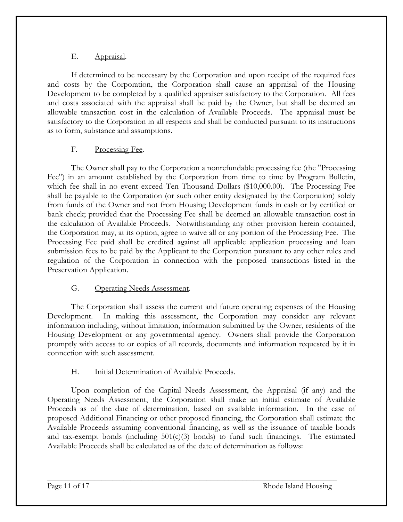#### E. Appraisal.

If determined to be necessary by the Corporation and upon receipt of the required fees and costs by the Corporation, the Corporation shall cause an appraisal of the Housing Development to be completed by a qualified appraiser satisfactory to the Corporation. All fees and costs associated with the appraisal shall be paid by the Owner, but shall be deemed an allowable transaction cost in the calculation of Available Proceeds. The appraisal must be satisfactory to the Corporation in all respects and shall be conducted pursuant to its instructions as to form, substance and assumptions.

#### F. Processing Fee.

The Owner shall pay to the Corporation a nonrefundable processing fee (the "Processing Fee") in an amount established by the Corporation from time to time by Program Bulletin, which fee shall in no event exceed Ten Thousand Dollars (\$10,000.00). The Processing Fee shall be payable to the Corporation (or such other entity designated by the Corporation) solely from funds of the Owner and not from Housing Development funds in cash or by certified or bank check; provided that the Processing Fee shall be deemed an allowable transaction cost in the calculation of Available Proceeds. Notwithstanding any other provision herein contained, the Corporation may, at its option, agree to waive all or any portion of the Processing Fee. The Processing Fee paid shall be credited against all applicable application processing and loan submission fees to be paid by the Applicant to the Corporation pursuant to any other rules and regulation of the Corporation in connection with the proposed transactions listed in the Preservation Application.

#### G. Operating Needs Assessment.

The Corporation shall assess the current and future operating expenses of the Housing Development. In making this assessment, the Corporation may consider any relevant information including, without limitation, information submitted by the Owner, residents of the Housing Development or any governmental agency. Owners shall provide the Corporation promptly with access to or copies of all records, documents and information requested by it in connection with such assessment.

#### H. Initial Determination of Available Proceeds.

Upon completion of the Capital Needs Assessment, the Appraisal (if any) and the Operating Needs Assessment, the Corporation shall make an initial estimate of Available Proceeds as of the date of determination, based on available information. In the case of proposed Additional Financing or other proposed financing, the Corporation shall estimate the Available Proceeds assuming conventional financing, as well as the issuance of taxable bonds and tax-exempt bonds (including  $501(c)(3)$  bonds) to fund such financings. The estimated Available Proceeds shall be calculated as of the date of determination as follows: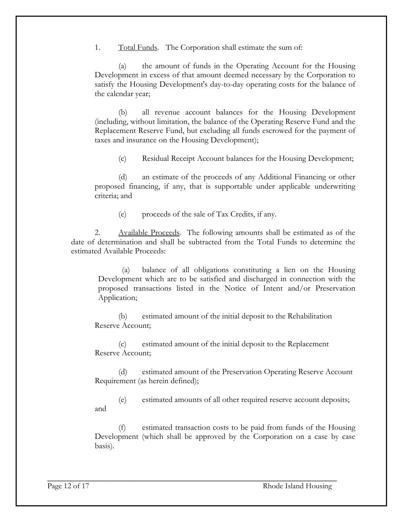1. Total Funds. The Corporation shall estimate the sum of:

 (a) the amount of funds in the Operating Account for the Housing Development in excess of that amount deemed necessary by the Corporation to satisfy the Housing Development's day-to-day operating costs for the balance of the calendar year;

(b) all revenue account balances for the Housing Development (including, without limitation, the balance of the Operating Reserve Fund and the Replacement Reserve Fund, but excluding all funds escrowed for the payment of taxes and insurance on the Housing Development);

(c) Residual Receipt Account balances for the Housing Development;

(d) an estimate of the proceeds of any Additional Financing or other proposed financing, if any, that is supportable under applicable underwriting criteria; and

(e) proceeds of the sale of Tax Credits, if any.

2. Available Proceeds. The following amounts shall be estimated as of the date of determination and shall be subtracted from the Total Funds to determine the estimated Available Proceeds:

(a) balance of all obligations constituting a lien on the Housing Development which are to be satisfied and discharged in connection with the proposed transactions listed in the Notice of Intent and/or Preservation Application;

(b) estimated amount of the initial deposit to the Rehabilitation Reserve Account;

(c) estimated amount of the initial deposit to the Replacement Reserve Account;

(d) estimated amount of the Preservation Operating Reserve Account Requirement (as herein defined);

(e) estimated amounts of all other required reserve account deposits; and

estimated transaction costs to be paid from funds of the Housing Development (which shall be approved by the Corporation on a case by case basis).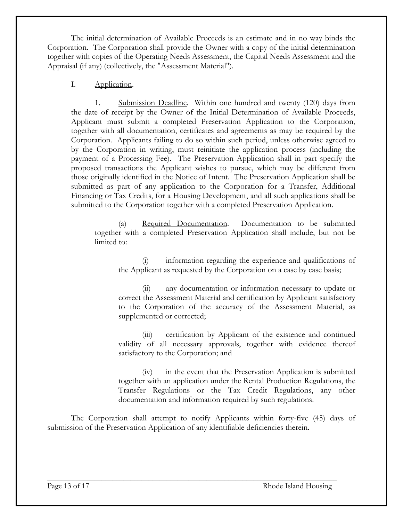The initial determination of Available Proceeds is an estimate and in no way binds the Corporation. The Corporation shall provide the Owner with a copy of the initial determination together with copies of the Operating Needs Assessment, the Capital Needs Assessment and the Appraisal (if any) (collectively, the "Assessment Material").

#### I. Application.

1. Submission Deadline. Within one hundred and twenty (120) days from the date of receipt by the Owner of the Initial Determination of Available Proceeds, Applicant must submit a completed Preservation Application to the Corporation, together with all documentation, certificates and agreements as may be required by the Corporation. Applicants failing to do so within such period, unless otherwise agreed to by the Corporation in writing, must reinitiate the application process (including the payment of a Processing Fee). The Preservation Application shall in part specify the proposed transactions the Applicant wishes to pursue, which may be different from those originally identified in the Notice of Intent. The Preservation Application shall be submitted as part of any application to the Corporation for a Transfer, Additional Financing or Tax Credits, for a Housing Development, and all such applications shall be submitted to the Corporation together with a completed Preservation Application.

(a) Required Documentation. Documentation to be submitted together with a completed Preservation Application shall include, but not be limited to:

information regarding the experience and qualifications of the Applicant as requested by the Corporation on a case by case basis;

(ii) any documentation or information necessary to update or correct the Assessment Material and certification by Applicant satisfactory to the Corporation of the accuracy of the Assessment Material, as supplemented or corrected;

(iii) certification by Applicant of the existence and continued validity of all necessary approvals, together with evidence thereof satisfactory to the Corporation; and

(iv) in the event that the Preservation Application is submitted together with an application under the Rental Production Regulations, the Transfer Regulations or the Tax Credit Regulations, any other documentation and information required by such regulations.

The Corporation shall attempt to notify Applicants within forty-five (45) days of submission of the Preservation Application of any identifiable deficiencies therein.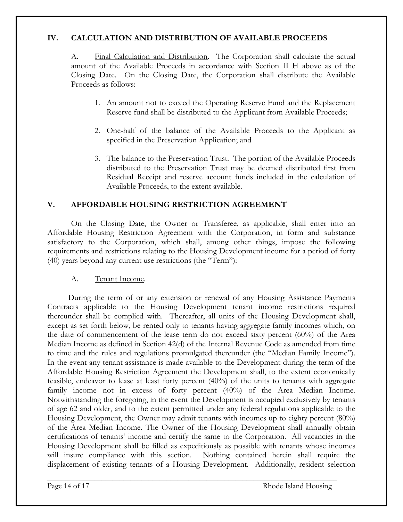#### **IV. CALCULATION AND DISTRIBUTION OF AVAILABLE PROCEEDS**

A. Final Calculation and Distribution. The Corporation shall calculate the actual amount of the Available Proceeds in accordance with Section II H above as of the Closing Date. On the Closing Date, the Corporation shall distribute the Available Proceeds as follows:

- 1. An amount not to exceed the Operating Reserve Fund and the Replacement Reserve fund shall be distributed to the Applicant from Available Proceeds;
- 2. One-half of the balance of the Available Proceeds to the Applicant as specified in the Preservation Application; and
- 3. The balance to the Preservation Trust. The portion of the Available Proceeds distributed to the Preservation Trust may be deemed distributed first from Residual Receipt and reserve account funds included in the calculation of Available Proceeds, to the extent available.

#### **V. AFFORDABLE HOUSING RESTRICTION AGREEMENT**

On the Closing Date, the Owner or Transferee, as applicable, shall enter into an Affordable Housing Restriction Agreement with the Corporation, in form and substance satisfactory to the Corporation, which shall, among other things, impose the following requirements and restrictions relating to the Housing Development income for a period of forty (40) years beyond any current use restrictions (the "Term"):

#### A. Tenant Income.

During the term of or any extension or renewal of any Housing Assistance Payments Contracts applicable to the Housing Development tenant income restrictions required thereunder shall be complied with. Thereafter, all units of the Housing Development shall, except as set forth below, be rented only to tenants having aggregate family incomes which, on the date of commencement of the lease term do not exceed sixty percent (60%) of the Area Median Income as defined in Section 42(d) of the Internal Revenue Code as amended from time to time and the rules and regulations promulgated thereunder (the "Median Family Income"). In the event any tenant assistance is made available to the Development during the term of the Affordable Housing Restriction Agreement the Development shall, to the extent economically feasible, endeavor to lease at least forty percent (40%) of the units to tenants with aggregate family income not in excess of forty percent (40%) of the Area Median Income. Notwithstanding the foregoing, in the event the Development is occupied exclusively by tenants of age 62 and older, and to the extent permitted under any federal regulations applicable to the Housing Development, the Owner may admit tenants with incomes up to eighty percent (80%) of the Area Median Income. The Owner of the Housing Development shall annually obtain certifications of tenants' income and certify the same to the Corporation. All vacancies in the Housing Development shall be filled as expeditiously as possible with tenants whose incomes will insure compliance with this section. Nothing contained herein shall require the displacement of existing tenants of a Housing Development. Additionally, resident selection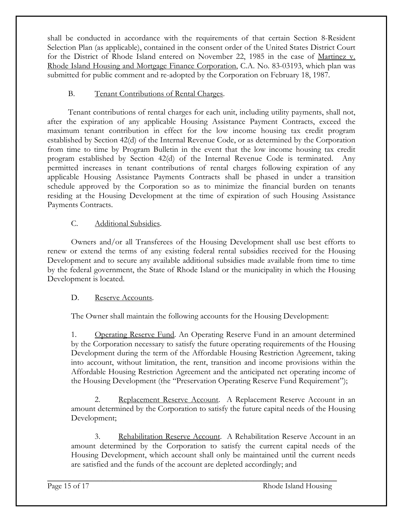shall be conducted in accordance with the requirements of that certain Section 8-Resident Selection Plan (as applicable), contained in the consent order of the United States District Court for the District of Rhode Island entered on November 22, 1985 in the case of Martinez v. Rhode Island Housing and Mortgage Finance Corporation, C.A. No. 83-03193, which plan was submitted for public comment and re-adopted by the Corporation on February 18, 1987.

#### B. Tenant Contributions of Rental Charges.

Tenant contributions of rental charges for each unit, including utility payments, shall not, after the expiration of any applicable Housing Assistance Payment Contracts, exceed the maximum tenant contribution in effect for the low income housing tax credit program established by Section 42(d) of the Internal Revenue Code, or as determined by the Corporation from time to time by Program Bulletin in the event that the low income housing tax credit program established by Section 42(d) of the Internal Revenue Code is terminated. Any permitted increases in tenant contributions of rental charges following expiration of any applicable Housing Assistance Payments Contracts shall be phased in under a transition schedule approved by the Corporation so as to minimize the financial burden on tenants residing at the Housing Development at the time of expiration of such Housing Assistance Payments Contracts.

#### C. Additional Subsidies.

Owners and/or all Transferees of the Housing Development shall use best efforts to renew or extend the terms of any existing federal rental subsidies received for the Housing Development and to secure any available additional subsidies made available from time to time by the federal government, the State of Rhode Island or the municipality in which the Housing Development is located.

#### D. Reserve Accounts.

The Owner shall maintain the following accounts for the Housing Development:

1. Operating Reserve Fund. An Operating Reserve Fund in an amount determined by the Corporation necessary to satisfy the future operating requirements of the Housing Development during the term of the Affordable Housing Restriction Agreement, taking into account, without limitation, the rent, transition and income provisions within the Affordable Housing Restriction Agreement and the anticipated net operating income of the Housing Development (the "Preservation Operating Reserve Fund Requirement");

2. Replacement Reserve Account. A Replacement Reserve Account in an amount determined by the Corporation to satisfy the future capital needs of the Housing Development;

3. Rehabilitation Reserve Account. A Rehabilitation Reserve Account in an amount determined by the Corporation to satisfy the current capital needs of the Housing Development, which account shall only be maintained until the current needs are satisfied and the funds of the account are depleted accordingly; and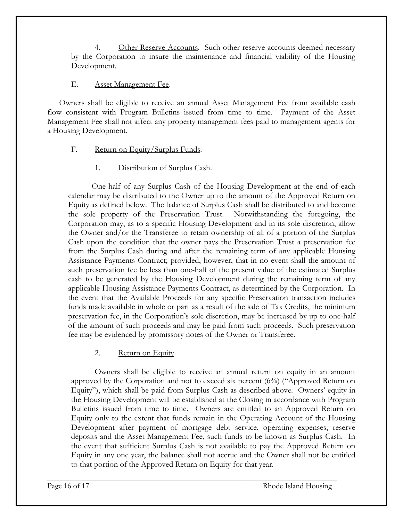4. Other Reserve Accounts. Such other reserve accounts deemed necessary by the Corporation to insure the maintenance and financial viability of the Housing Development.

#### E. Asset Management Fee.

 Owners shall be eligible to receive an annual Asset Management Fee from available cash flow consistent with Program Bulletins issued from time to time. Payment of the Asset Management Fee shall not affect any property management fees paid to management agents for a Housing Development.

- F. Return on Equity/Surplus Funds.
	- 1. Distribution of Surplus Cash.

One-half of any Surplus Cash of the Housing Development at the end of each calendar may be distributed to the Owner up to the amount of the Approved Return on Equity as defined below. The balance of Surplus Cash shall be distributed to and become the sole property of the Preservation Trust. Notwithstanding the foregoing, the Corporation may, as to a specific Housing Development and in its sole discretion, allow the Owner and/or the Transferee to retain ownership of all of a portion of the Surplus Cash upon the condition that the owner pays the Preservation Trust a preservation fee from the Surplus Cash during and after the remaining term of any applicable Housing Assistance Payments Contract; provided, however, that in no event shall the amount of such preservation fee be less than one-half of the present value of the estimated Surplus cash to be generated by the Housing Development during the remaining term of any applicable Housing Assistance Payments Contract, as determined by the Corporation. In the event that the Available Proceeds for any specific Preservation transaction includes funds made available in whole or part as a result of the sale of Tax Credits, the minimum preservation fee, in the Corporation's sole discretion, may be increased by up to one-half of the amount of such proceeds and may be paid from such proceeds. Such preservation fee may be evidenced by promissory notes of the Owner or Transferee.

#### 2. Return on Equity.

Owners shall be eligible to receive an annual return on equity in an amount approved by the Corporation and not to exceed six percent (6%) ("Approved Return on Equity"), which shall be paid from Surplus Cash as described above. Owners' equity in the Housing Development will be established at the Closing in accordance with Program Bulletins issued from time to time. Owners are entitled to an Approved Return on Equity only to the extent that funds remain in the Operating Account of the Housing Development after payment of mortgage debt service, operating expenses, reserve deposits and the Asset Management Fee, such funds to be known as Surplus Cash. In the event that sufficient Surplus Cash is not available to pay the Approved Return on Equity in any one year, the balance shall not accrue and the Owner shall not be entitled to that portion of the Approved Return on Equity for that year.